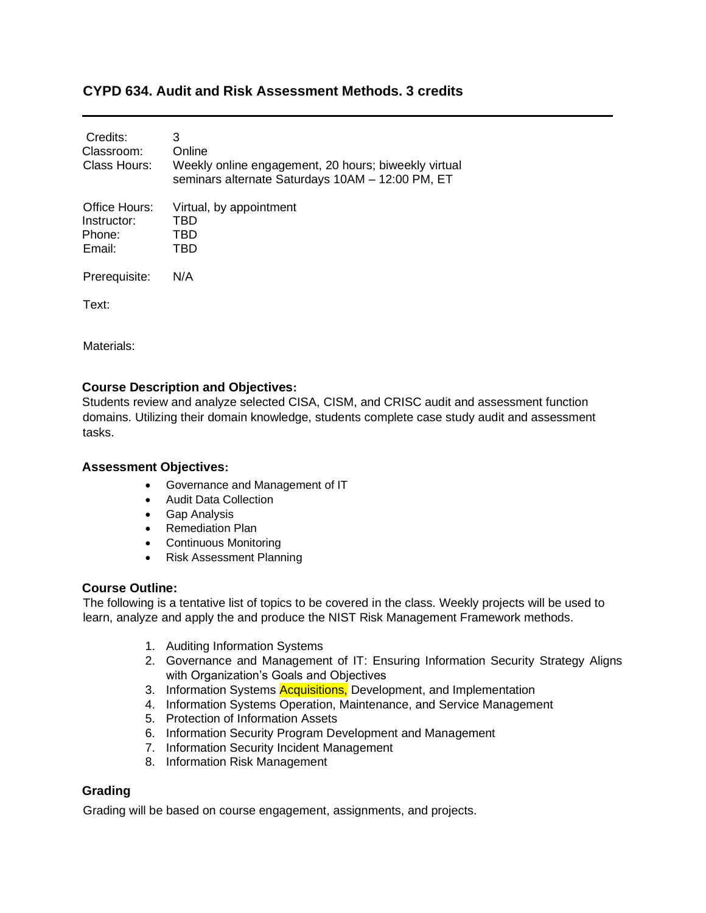# **CYPD 634. Audit and Risk Assessment Methods. 3 credits**

| Credits:<br>Classroom:<br>Class Hours:           | 3<br>Online<br>Weekly online engagement, 20 hours; biweekly virtual<br>seminars alternate Saturdays 10AM - 12:00 PM, ET |
|--------------------------------------------------|-------------------------------------------------------------------------------------------------------------------------|
| Office Hours:<br>Instructor:<br>Phone:<br>Email: | Virtual, by appointment<br>TBD<br>TBD<br>TBD                                                                            |
| Prerequisite:                                    | N/A                                                                                                                     |
| Text:                                            |                                                                                                                         |

Materials:

## **Course Description and Objectives:**

Students review and analyze selected CISA, CISM, and CRISC audit and assessment function domains. Utilizing their domain knowledge, students complete case study audit and assessment tasks.

## **Assessment Objectives:**

- Governance and Management of IT
- Audit Data Collection
- Gap Analysis
- Remediation Plan
- Continuous Monitoring
- Risk Assessment Planning

### **Course Outline:**

The following is a tentative list of topics to be covered in the class. Weekly projects will be used to learn, analyze and apply the and produce the NIST Risk Management Framework methods.

- 1. Auditing Information Systems
- 2. Governance and Management of IT: Ensuring Information Security Strategy Aligns with Organization's Goals and Objectives
- 3. Information Systems **Acquisitions**, Development, and Implementation
- 4. Information Systems Operation, Maintenance, and Service Management
- 5. Protection of Information Assets
- 6. Information Security Program Development and Management
- 7. Information Security Incident Management
- 8. Information Risk Management

### **Grading**

Grading will be based on course engagement, assignments, and projects.